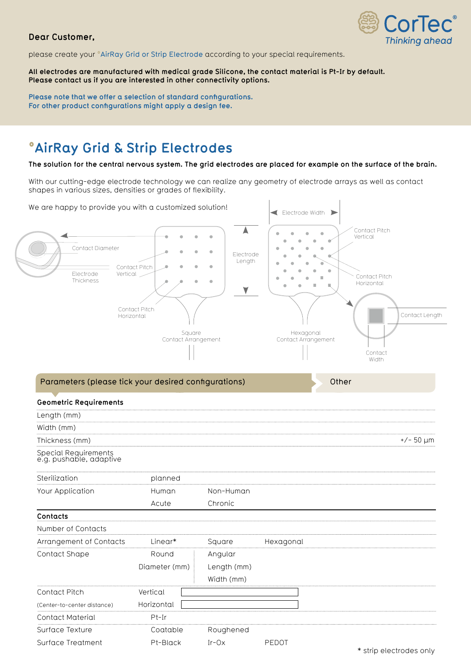## **Dear Customer,**



please create your °AirRay Grid or Strip Electrode according to your special requirements.

**All electrodes are manufactured with medical grade Silicone, the contact material is Pt-Ir by default. Please contact us if you are interested in other connectivity options.**

**Please note that we offer a selection of standard confgurations. For other product confgurations might apply a design fee.**

## **°AirRay Grid & Strip Electrodes**

**The solution for the central nervous system. The grid electrodes are placed for example on the surface of the brain.** 

With our cutting-edge electrode technology we can realize any geometry of electrode arrays as well as contact shapes in various sizes, densities or grades of fexibility.



Surface Treatment Pt-Black Ir-Ox PEDOT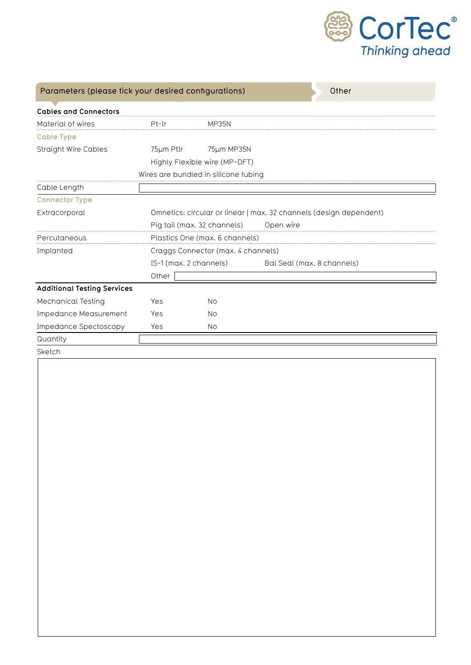

| Parameters (please tick your desired configurations) |                                                                    |            | Other                      |  |
|------------------------------------------------------|--------------------------------------------------------------------|------------|----------------------------|--|
| <b>Cables and Connectors</b>                         |                                                                    |            |                            |  |
| Material of wires                                    | $Pt-Ir$                                                            | MP35N      |                            |  |
| <b>Cable Type</b>                                    |                                                                    |            |                            |  |
| <b>Straight Wire Cables</b>                          | 75µm PtIr                                                          | 75µm MP35N |                            |  |
|                                                      | Highly Flexible wire (MP-DFT)                                      |            |                            |  |
|                                                      | Wires are bundled in silicone tubing                               |            |                            |  |
| Cable Length                                         |                                                                    |            |                            |  |
| <b>Connector Type</b>                                |                                                                    |            |                            |  |
| Extracorporal                                        | Omnetics: circular or linear   max. 32 channels (design dependent) |            |                            |  |
|                                                      | Pig tail (max. 32 channels)                                        |            | Open wire                  |  |
| Percutaneous                                         | Plastics One (max. 6 channels)                                     |            |                            |  |
| Implanted                                            | Craggs Connector (max. 4 channels)                                 |            |                            |  |
|                                                      | IS-1 (max. 2 channels)                                             |            | Bal Seal (max. 8 channels) |  |
|                                                      | Other                                                              |            |                            |  |
| <b>Additional Testing Services</b>                   |                                                                    |            |                            |  |
| Mechanical Testing                                   | Yes                                                                | <b>No</b>  |                            |  |
| <b>Impedance Measurement</b>                         | Yes                                                                | <b>No</b>  |                            |  |
| Impedance Spectoscopy                                | Yes                                                                | No.        |                            |  |
| Quantity                                             |                                                                    |            |                            |  |
| Sketch                                               |                                                                    |            |                            |  |